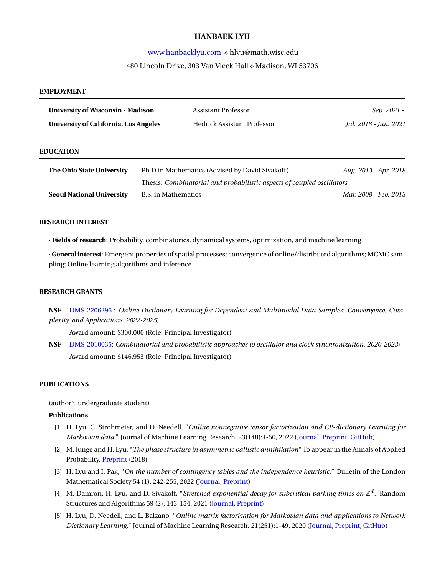# **HANBAEK LYU**

# [www.hanbaeklyu.com](http://www.hanbaeklyu.com) *⋄* hlyu@math.wisc.edu 480 Lincoln Drive, 303 Van Vleck Hall *⋄* Madison, WI 53706

# **EMPLOYMENT**

| <b>University of Wisconsin - Madison</b><br>University of California, Los Angeles |                                                                                                                           | <b>Assistant Professor</b><br><b>Hedrick Assistant Professor</b> | Sep. 2021 -<br>Jul. 2018 - Jun. 2021 |
|-----------------------------------------------------------------------------------|---------------------------------------------------------------------------------------------------------------------------|------------------------------------------------------------------|--------------------------------------|
| <b>EDUCATION</b>                                                                  |                                                                                                                           |                                                                  |                                      |
| The Ohio State University                                                         | Ph.D in Mathematics (Advised by David Sivakoff)<br>Thesis: Combinatorial and probabilistic aspects of coupled oscillators |                                                                  | Aug. 2013 - Apr. 2018                |
| <b>Seoul National University</b>                                                  | B.S. in Mathematics                                                                                                       |                                                                  | Mar. 2008 - Feb. 2013                |

### **RESEARCH INTEREST**

*·* **Fields of research**: Probability, combinatorics, dynamical systems, optimization, and machine learning

*·* **General interest**: Emergent properties of spatial processes; convergence of online/distributed algorithms; MCMC sampling; Online learning algorithms and inference

## **RESEARCH GRANTS**

**NSF** [DMS-2206296](https://www.nsf.gov/awardsearch/showAward?AWD_ID=2206296&HistoricalAwards=false) : *Online Dictionary Learning for Dependent and Multimodal Data Samples: Convergence, Complexity, and Applications. 2022-2025*)

Award amount: \$300,000 (Role: Principal Investigator)

**NSF** [DMS-2010035:](https://www.nsf.gov/awardsearch/showAward?AWD_ID=2010035&HistoricalAwards=false) *Combinatorial and probabilistic approaches to oscillator and clock synchronization. 2020-2023*) Award amount: \$146,953 (Role: Principal Investigator)

# **PUBLICATIONS**

(author\*=undergraduate student)

## **Publications**

- [1] H. Lyu, C. Strohmeier, and D. Needell, "*Online nonnegative tensor factorization and CP-dictionary Learning for Markovian data*." Journal of Machine Learning Research, 23(148):1-50, 2022 ([Journal](https://jmlr.org/papers/v23/21-0419.html), [Preprint,](https://arxiv.org/abs/2009.07612) [GitHub\)](https://github.com/HanbaekLyu/OnlineCPDL)
- [2] M. Junge and H. Lyu, "*The phase structure in asymmetric ballistic annihilation*" To appear in the Annals of Applied Probability. [Preprint](https://arxiv.org/abs/1811.08378) (2018)
- [3] H. Lyu and I. Pak, "*On the number of contingency tables and the independence heuristic.*" Bulletin of the London Mathematical Society 54 (1), 242-255, 2022 [\(Journal,](https://londmathsoc.onlinelibrary.wiley.com/doi/abs/10.1112/blms.12578) [Preprint](https://arxiv.org/abs/2009.10810))
- [4] M. Damron, H. Lyu, and D. Sivakoff, "Stretched exponential decay for subcritical parking times on  $\mathbb{Z}^d$ . Random Structures and Algorithms 59 (2), 143-154, 2021 [\(Journal,](https://onlinelibrary.wiley.com/doi/abs/10.1002/rsa.21001) [Preprint](https://arxiv.org/abs/2008.05072))
- [5] H. Lyu, D. Needell, and L. Balzano, "*Online matrix factorization for Markovian data and applications to Network Dictionary Learning*." Journal of Machine Learning Research. 21(251):1-49, 2020 [\(Journal,](https://jmlr.org/papers/v21/20-444.html) [Preprint](https://arxiv.org/abs/1911.01931), [GitHub](https://github.com/HanbaekLyu/ONMF_ONTF_NDL))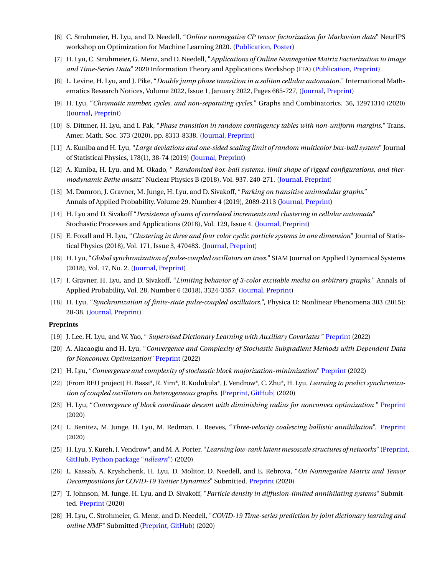- [6] C. Strohmeier, H. Lyu, and D. Needell, "*Online nonnegative CP tensor factorization for Markovian data*" NeurIPS workshop on Optimization for Machine Learning 2020. ([Publication,](https://opt-ml.org/papers/2020/paper_20.pdf) [Poster](https://opt-ml.org/posters/2020/poster_20.png))
- [7] H. Lyu, C. Strohmeier, G. Menz, and D. Needell, "*Applications of Online Nonnegative Matrix Factorization to Image and Time-Series Data*" 2020 Information Theory and Applications Workshop (ITA) ([Publication](https://ieeexplore.ieee.org/abstract/document/9245004?casa_token=AErbE3k2DnIAAAAA:ErHAEQIq6cNAbFJyvscBfvvW4xyd0QpbFJ-PGWS6PkK5mR6Mt7oyjbD3hrLaFan-KcfysGhxFA), [Preprint](https://arxiv.org/abs/2011.05384))
- [8] L. Levine, H. Lyu, and J. Pike, "*Double jump phase transition in a soliton cellular automaton.*" International Mathematics Research Notices, Volume 2022, Issue 1, January 2022, Pages 665-727, [\(Journal,](https://doi.org/10.1093/imrn/rnaa166) [Preprint](https://arxiv.org/abs/1706.05621))
- [9] H. Lyu, "*Chromatic number, cycles, and non-separating cycles.*" Graphs and Combinatorics. 36, 12971310 (2020) [\(Journal,](https://link.springer.com/article/10.1007/s00373-020-02187-4) [Preprint](https://arxiv.org/abs/1211.0627))
- [10] S. Dittmer, H. Lyu, and I. Pak, "*Phase transition in random contingency tables with non-uniform margins.*" Trans. Amer. Math. Soc. 373 (2020), pp. 8313-8338. [\(Journal,](https://www.ams.org/journals/tran/0000-000-00/S0002-9947-2020-08094-5/) [Preprint](https://arxiv.org/abs/1903.08743))
- [11] A. Kuniba and H. Lyu, "*Large deviations and one-sided scaling limit of random multicolor box-ball system*" Journal of Statistical Physics, 178(1), 38-74 (2019) ([Journal,](http://link.springer.com/article/10.1007/s10955-019-02417-x) [Preprint\)](https://arxiv.org/abs/1808.08074)
- [12] A. Kuniba, H. Lyu, and M. Okado, " *Randomized box-ball systems, limit shape of rigged configurations, and thermodynamic Bethe ansatz*" Nuclear Physics B (2018), Vol. 937, 240-271. ([Journal,](https://www.sciencedirect.com/science/article/pii/S055032131830289X) [Preprint\)](https://arxiv.org/abs/1808.02626)
- [13] M. Damron, J. Gravner, M. Junge, H. Lyu, and D. Sivakoff, "*Parking on transitive unimodular graphs*." Annals of Applied Probability, Volume 29, Number 4 (2019), 2089-2113 [\(Journal,](https://projecteuclid.org/euclid.aoap/1563869038) [Preprint\)](https://arxiv.org/abs/1710.10529)
- [14] H. Lyu and D. Sivakoff "*Persistence of sums of correlated increments and clustering in cellular automata*" Stochastic Processes and Applications (2018), Vol. 129, Issue 4. ([Journal](https://www.sciencedirect.com/science/article/pii/S0304414918301431), [Preprint](https://arxiv.org/abs/1706.08117))
- [15] E. Foxall and H. Lyu, "*Clustering in three and four color cyclic particle systems in one dimension*" Journal of Statistical Physics (2018), Vol. 171, Issue 3, 470483. [\(Journal, Preprint](https://link.springer.com/article/10.1007/s10955-018-2004-2))
- [16] H. Lyu, "*Global synchronization of pulse-coupled oscillators on trees.*" SIAM Journal on Applied Dynamical Systems (2018), Vol. 17, No. 2. ([Journal](https://epubs.siam.org/doi/abs/10.1137/17M1117951), [Preprint\)](https://arxiv.org/abs/1604.08381)
- [17] J. Gravner, H. Lyu, and D. Sivakoff, "*Limiting behavior of 3-color excitable media on arbitrary graphs.*" Annals of Applied Probability, Vol. 28, Number 6 (2018), 3324-3357. ([Journal](http://dx.doi.org/10.1214/17-AAP1350), [Preprint\)](https://arxiv.org/abs/1610.07320)
- [18] H. Lyu, "*Synchronization of finite-state pulse-coupled oscillators.*", Physica D: Nonlinear Phenomena 303 (2015): 28-38. [\(Journal,]( https://www.sciencedirect.com/science/article/pii/S0167278915000536) [Preprint\)](https://arxiv.org/abs/1407.1103)

## **Preprints**

- [19] J. Lee, H. Lyu, and W. Yao, " *Supervised Dictionary Learning with Auxiliary Covariates* " [Preprint](https://arxiv.org/abs/2206.06774) (2022)
- [20] A. Alacaoglu and H. Lyu, "*Convergence and Complexity of Stochastic Subgradient Methods with Dependent Data for Nonconvex Optimization*" [Preprint](https://arxiv.org/abs/2203.15797) (2022)
- [21] H. Lyu, "*Convergence and complexity of stochastic block majorization-minimization*" [Preprint](https://arxiv.org/abs/2201.01652) (2022)
- [22] (From REU project) H. Bassi\*, R. Yim\*, R. Kodukula\*, J. Vendrow\*, C. Zhu\*, H. Lyu, *Learning to predict synchronization of coupled oscillators on heterogeneous graphs.* [\[Preprint,](https://arxiv.org/abs/2012.14048) [GitHub\]](https://github.com/richpaulyim/L2PSync) (2020)
- [23] H. Lyu, "*Convergence of block coordinate descent with diminishing radius for nonconvex optimization* " [Preprint](https://arxiv.org/abs/2012.03503) (2020)
- [24] L. Benitez, M. Junge, H. Lyu, M. Redman, L. Reeves, "*Three-velocity coalescing ballistic annihilation*". [Preprint](https://arxiv.org/abs/2010.15855) (2020)
- [25] H. Lyu, Y. Kureh, J. Vendrow\*, and M. A. Porter, "*Learning low-rank latent mesoscale structures of networks*" ([Preprint,](https://arxiv.org/abs/2102.06984) [GitHub,](https://github.com/HanbaekLyu/NDL_paper) [Python package "](https://pypi.org/project/ndlearn/)*ndlearn*") (2020)
- [26] L. Kassab, A. Kryshchenk, H. Lyu, D. Molitor, D. Needell, and E. Rebrova, "*On Nonnegative Matrix and Tensor Decompositions for COVID-19 Twitter Dynamics*" Submitted. [Preprint](https://arxiv.org/abs/2010.01600) (2020)
- [27] T. Johnson, M. Junge, H. Lyu, and D. Sivakoff, "*Particle density in diffusion-limited annihilating systems*" Submitted. [Preprint](https://arxiv.org/abs/2005.06018) (2020)
- [28] H. Lyu, C. Strohmeier, G. Menz, and D. Needell, "*COVID-19 Time-series prediction by joint dictionary learning and online NMF*" Submitted ([Preprint,](https://arxiv.org/abs/2004.09112) [GitHub\)](https://github.com/HanbaekLyu/ONMF-COVID19) (2020)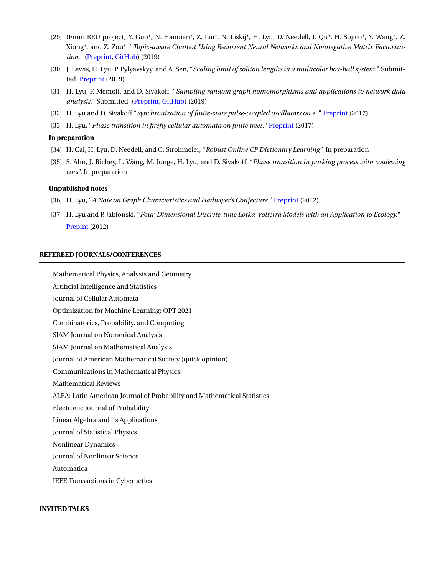- [29] (From REU project) Y. Guo\*, N. Hanoian\*, Z. Lin\*, N. Liskij\*, H. Lyu, D. Needell, J. Qu\*, H. Sojico\*, Y. Wang\*, Z. Xiong\*, and Z. Zou\*, "*Topic-aware Chatbot Using Recurrent Neural Networks and Nonnegative Matrix Factorization.*" ([Preprint,](https://arxiv.org/abs/1912.00315) [GitHub\)](https://github.com/HanbaekLyu/RNN_NMF_chatbot) (2019)
- [30] J. Lewis, H. Lyu, P. Pylyavskyy, and A. Sen, "*Scaling limit of soliton lengths in a multicolor box-ball system*." Submitted. [Preprint](https://arxiv.org/abs/1911.04458) (2019)
- [31] H. Lyu, F. Memoli, and D. Sivakoff, "*Sampling random graph homomorphisms and applications to network data analysis*." Submitted. ([Preprint,](https://arxiv.org/abs/1910.09483) [GitHub\)](https://github.com/HanbaekLyu/motif_sampling) (2019)
- [32] H. Lyu and D. Sivakoff "*Synchronization of finite-state pulse-coupled oscillators on* Z*.*" [Preprint](https://arxiv.org/abs/1701.00319) (2017)
- [33] H. Lyu, "*Phase transition in firefly cellular automata on finite trees.*" [Preprint](https://arxiv.org/abs/1610.00837) (2017)

#### **In preparation**

- [34] H. Cai, H. Lyu, D. Needell, and C. Strohmeier, "*Robust Online CP Dictionary Learning*", In preparation
- [35] S. Ahn, J. Richey, L. Wang, M. Junge, H. Lyu, and D. Sivakoff, "*Phase transition in parking process with coalescing cars*", In preparation

#### **Unpublished notes**

- [36] H. Lyu, "*A Note on Graph Characteristics and Hadwiger's Conjecture.*" [Preprint](https://arxiv.org/abs/1203.3710) (2012)
- [37] H. Lyu and P. Jablonski, "*Four-Dimensional Discrete-time Lotka-Volterra Models with an Application to Ecology.*" [Prepint](https://arxiv.org/abs/1211.5861) (2012)

#### **REFEREED JOURNALS/CONFERENCES**

Mathematical Physics, Analysis and Geometry

Artificial Intelligence and Statistics

Journal of Cellular Automata

Optimization for Machine Learning: OPT 2021

Combinatorics, Probability, and Computing

SIAM Journal on Numerical Analysis

SIAM Journal on Mathematical Analysis

Journal of American Mathematical Society (quick opinion)

Communications in Mathematical Physics

Mathematical Reviews

ALEA: Latin American Journal of Probability and Mathematical Statistics

Electronic Journal of Probability

Linear Algebra and its Applications

Journal of Statistical Physics

Nonlinear Dynamics

Journal of Nonlinear Science

Automatica

IEEE Transactions in Cybernetics

## **INVITED TALKS**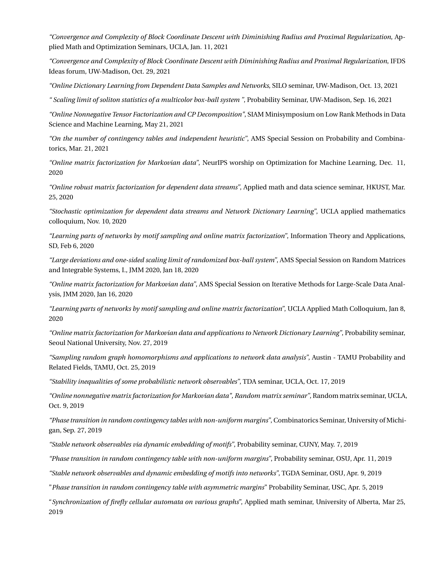*"Convergence and Complexity of Block Coordinate Descent with Diminishing Radius and Proximal Regularization*, Applied Math and Optimization Seminars, UCLA, Jan. 11, 2021

*"Convergence and Complexity of Block Coordinate Descent with Diminishing Radius and Proximal Regularization*, IFDS Ideas forum, UW-Madison, Oct. 29, 2021

*"Online Dictionary Learning from Dependent Data Samples and Networks*, SILO seminar, UW-Madison, Oct. 13, 2021

*" Scaling limit of soliton statistics of a multicolor box-ball system "*, Probability Seminar, UW-Madison, Sep. 16, 2021

*"Online Nonnegative Tensor Factorization and CP Decomposition"*, SIAM Minisymposium on Low Rank Methods in Data Science and Machine Learning, May 21, 2021

*"On the number of contingency tables and independent heuristic"*, AMS Special Session on Probability and Combinatorics, Mar. 21, 2021

*"Online matrix factorization for Markovian data"*, NeurIPS worship on Optimization for Machine Learning, Dec. 11, 2020

*"Online robust matrix factorization for dependent data streams"*, Applied math and data science seminar, HKUST, Mar. 25, 2020

*"Stochastic optimization for dependent data streams and Network Dictionary Learning"*, UCLA applied mathematics colloquium, Nov. 10, 2020

*"Learning parts of networks by motif sampling and online matrix factorization"*, Information Theory and Applications, SD, Feb 6, 2020

*"Large deviations and one-sided scaling limit of randomized box-ball system"*, AMS Special Session on Random Matrices and Integrable Systems, I., JMM 2020, Jan 18, 2020

*"Online matrix factorization for Markovian data"*, AMS Special Session on Iterative Methods for Large-Scale Data Analysis, JMM 2020, Jan 16, 2020

*"Learning parts of networks by motif sampling and online matrix factorization"*, UCLA Applied Math Colloquium, Jan 8, 2020

*"Online matrix factorization for Markovian data and applications to Network Dictionary Learning"*, Probability seminar, Seoul National University, Nov. 27, 2019

*"Sampling random graph homomorphisms and applications to network data analysis"*, Austin - TAMU Probability and Related Fields, TAMU, Oct. 25, 2019

*"Stability inequalities of some probabilistic network observables"*, TDA seminar, UCLA, Oct. 17, 2019

*"Online nonnegative matrix factorization for Markovian data", Random matrix seminar"*, Random matrix seminar, UCLA, Oct. 9, 2019

*"Phase transition in random contingency tables with non-uniform margins"*, Combinatorics Seminar, University of Michigan, Sep. 27, 2019

*"Stable network observables via dynamic embedding of motifs"*, Probability seminar, CUNY, May. 7, 2019

*"Phase transition in random contingency table with non-uniform margins"*, Probability seminar, OSU, Apr. 11, 2019

*"Stable network observables and dynamic embedding of motifs into networks"*, TGDA Seminar, OSU, Apr. 9, 2019

"*Phase transition in random contingency table with asymmetric margins*" Probability Seminar, USC, Apr. 5, 2019

"*Synchronization of firefly cellular automata on various graphs*", Applied math seminar, University of Alberta, Mar 25, 2019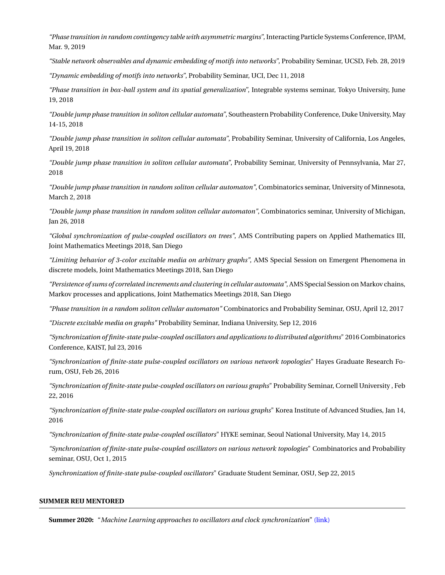*"Phase transition in random contingency table with asymmetric margins"*, Interacting Particle Systems Conference, IPAM, Mar. 9, 2019

*"Stable network observables and dynamic embedding of motifs into networks"*, Probability Seminar, UCSD, Feb. 28, 2019

*"Dynamic embedding of motifs into networks"*, Probability Seminar, UCI, Dec 11, 2018

*"Phase transition in box-ball system and its spatial generalization"*, Integrable systems seminar, Tokyo University, June 19, 2018

*"Double jump phase transition in soliton cellular automata"*, Southeastern Probability Conference, Duke University, May 14-15, 2018

*"Double jump phase transition in soliton cellular automata"*, Probability Seminar, University of California, Los Angeles, April 19, 2018

*"Double jump phase transition in soliton cellular automata"*, Probability Seminar, University of Pennsylvania, Mar 27, 2018

*"Double jump phase transition in random soliton cellular automaton"*, Combinatorics seminar, University of Minnesota, March 2, 2018

*"Double jump phase transition in random soliton cellular automaton"*, Combinatorics seminar, University of Michigan, Jan 26, 2018

*"Global synchronization of pulse-coupled oscillators on trees"*, AMS Contributing papers on Applied Mathematics III, Joint Mathematics Meetings 2018, San Diego

*"Limiting behavior of 3-color excitable media on arbitrary graphs"*, AMS Special Session on Emergent Phenomena in discrete models, Joint Mathematics Meetings 2018, San Diego

*"Persistence of sums of correlated increments and clustering in cellular automata"*, AMS Special Session on Markov chains, Markov processes and applications, Joint Mathematics Meetings 2018, San Diego

*"Phase transition in a random soliton cellular automaton"* Combinatorics and Probability Seminar, OSU, April 12, 2017

*"Discrete excitable media on graphs"* Probability Seminar, Indiana University, Sep 12, 2016

*"Synchronization of finite-state pulse-coupled oscillators and applications to distributed algorithms*" 2016 Combinatorics Conference, KAIST, Jul 23, 2016

*"Synchronization of finite-state pulse-coupled oscillators on various network topologies*" Hayes Graduate Research Forum, OSU, Feb 26, 2016

*"Synchronization of finite-state pulse-coupled oscillators on various graphs*" Probability Seminar, Cornell University , Feb 22, 2016

*"Synchronization of finite-state pulse-coupled oscillators on various graphs*" Korea Institute of Advanced Studies, Jan 14, 2016

*"Synchronization of finite-state pulse-coupled oscillators*" HYKE seminar, Seoul National University, May 14, 2015

*"Synchronization of finite-state pulse-coupled oscillators on various network topologies*" Combinatorics and Probability seminar, OSU, Oct 1, 2015

*Synchronization of finite-state pulse-coupled oscillators*" Graduate Student Seminar, OSU, Sep 22, 2015

## **SUMMER REU MENTORED**

**Summer 2020:** "*Machine Learning approaches to oscillators and clock synchronization*" [\(link\)](https://hanbaeklyu.com/reu/)